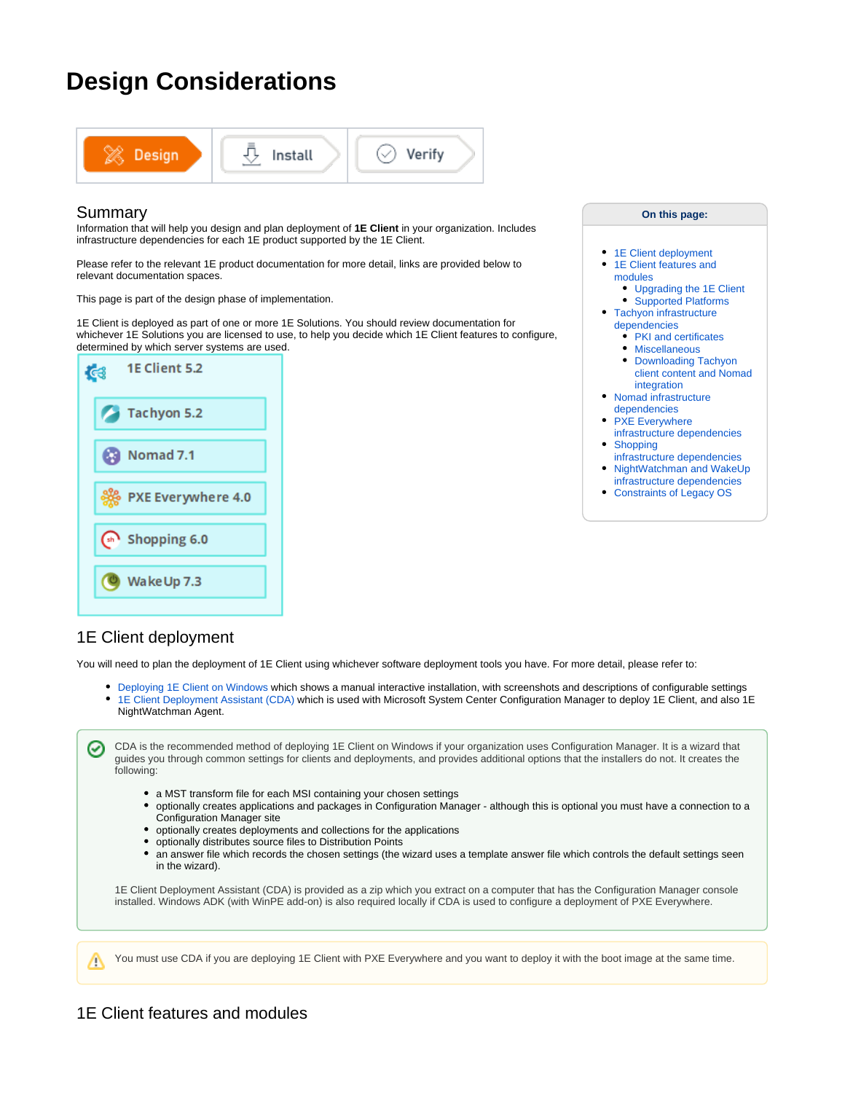# **Design Considerations**



### Summary

Information that will help you design and plan deployment of **1E Client** in your organization. Includes infrastructure dependencies for each 1E product supported by the 1E Client.

Please refer to the relevant 1E product documentation for more detail, links are provided below to relevant documentation spaces.

This page is part of the design phase of implementation.

1E Client is deployed as part of one or more 1E Solutions. You should review documentation for whichever 1E Solutions you are licensed to use, to help you decide which 1E Client features to configure, determined by which server systems are used.



#### **On this page:**

- [1E Client deployment](#page-0-0) • 1E Client features and [modules](#page-0-1)
	- [Upgrading the 1E Client](#page-1-0) • [Supported Platforms](#page-1-1)
- [Tachyon infrastructure](#page-3-0) 
	- [dependencies](#page-3-0) • [PKI and certificates](#page-4-0)
	-
	- [Miscellaneous](#page-4-1) • Downloading Tachyon [client content and Nomad](#page-4-2)
- [integration](#page-4-2)  [Nomad infrastructure](#page-5-0)
- [dependencies](#page-5-0)
- PXE Everywhere
- [infrastructure dependencies](#page-5-1) [Shopping](#page-6-0)
- [infrastructure dependencies](#page-6-0) • NightWatchman and WakeUp
- [infrastructure dependencies](#page-6-1) [Constraints of Legacy OS](#page-6-2)

# <span id="page-0-0"></span>1E Client deployment

You will need to plan the deployment of 1E Client using whichever software deployment tools you have. For more detail, please refer to:

- [Deploying 1E Client on Windows](https://help.1e.com/display/1EC52/Deploying+1E+Client+on+Windows) which shows a manual interactive installation, with screenshots and descriptions of configurable settings
- [1E Client Deployment Assistant \(CDA\)](https://help.1e.com/display/CDA16/Welcome) which is used with Microsoft System Center Configuration Manager to deploy 1E Client, and also 1E NightWatchman Agent.

CDA is the recommended method of deploying 1E Client on Windows if your organization uses Configuration Manager. It is a wizard that guides you through common settings for clients and deployments, and provides additional options that the installers do not. It creates the following:

- a MST transform file for each MSI containing your chosen settings
- optionally creates applications and packages in Configuration Manager although this is optional you must have a connection to a Configuration Manager site
- optionally creates deployments and collections for the applications
- optionally distributes source files to Distribution Points
- an answer file which records the chosen settings (the wizard uses a template answer file which controls the default settings seen in the wizard).

1E Client Deployment Assistant (CDA) is provided as a zip which you extract on a computer that has the Configuration Manager console installed. Windows ADK (with WinPE add-on) is also required locally if CDA is used to configure a deployment of PXE Everywhere.

You must use CDA if you are deploying 1E Client with PXE Everywhere and you want to deploy it with the boot image at the same time.

<span id="page-0-1"></span>Δ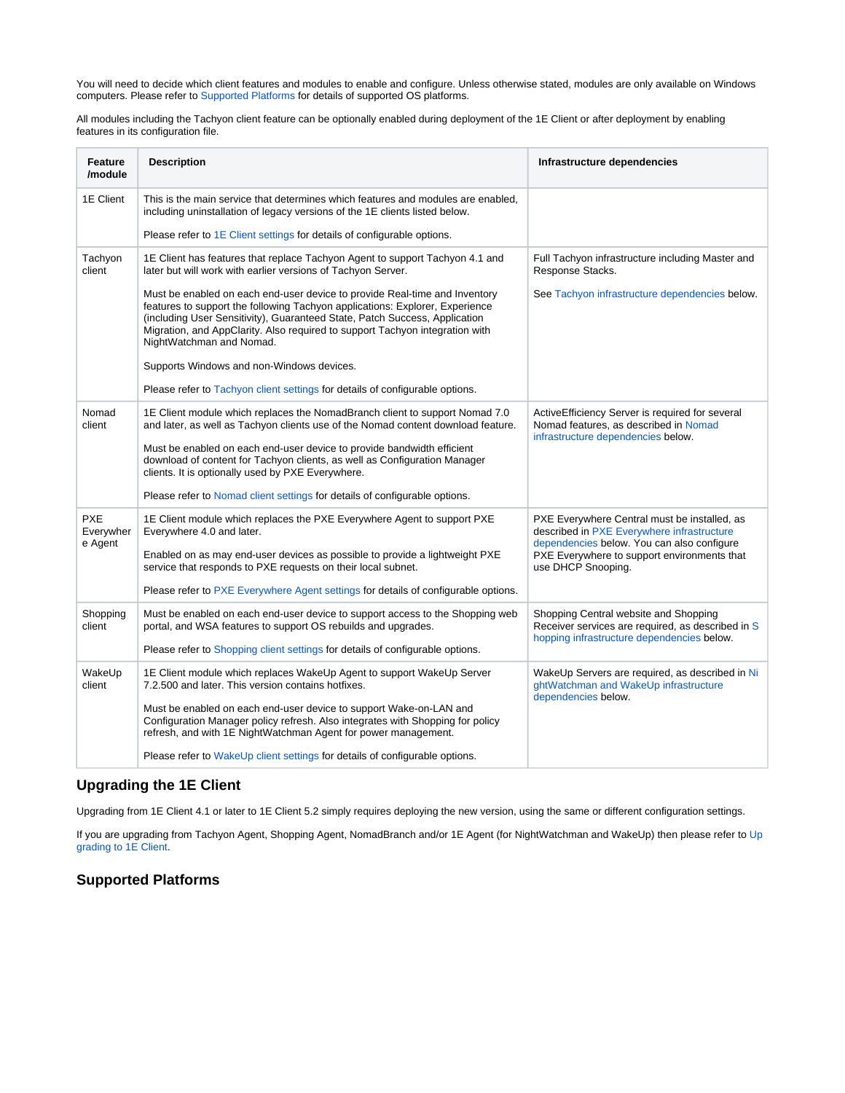You will need to decide which client features and modules to enable and configure. Unless otherwise stated, modules are only available on Windows computers. Please refer to [Supported Platforms](https://help.1e.com/display/1EC52/Supported+Platforms) for details of supported OS platforms.

All modules including the Tachyon client feature can be optionally enabled during deployment of the 1E Client or after deployment by enabling features in its configuration file.

| <b>Feature</b><br>/module          | <b>Description</b>                                                                                                                                                                                                                                                                                                                                   | Infrastructure dependencies                                                                                                                                                                                   |
|------------------------------------|------------------------------------------------------------------------------------------------------------------------------------------------------------------------------------------------------------------------------------------------------------------------------------------------------------------------------------------------------|---------------------------------------------------------------------------------------------------------------------------------------------------------------------------------------------------------------|
| 1E Client                          | This is the main service that determines which features and modules are enabled.<br>including uninstallation of legacy versions of the 1E clients listed below.                                                                                                                                                                                      |                                                                                                                                                                                                               |
|                                    | Please refer to 1E Client settings for details of configurable options.                                                                                                                                                                                                                                                                              |                                                                                                                                                                                                               |
| Tachyon<br>client                  | 1E Client has features that replace Tachyon Agent to support Tachyon 4.1 and<br>later but will work with earlier versions of Tachyon Server.                                                                                                                                                                                                         | Full Tachyon infrastructure including Master and<br>Response Stacks.                                                                                                                                          |
|                                    | Must be enabled on each end-user device to provide Real-time and Inventory<br>features to support the following Tachyon applications: Explorer, Experience<br>(including User Sensitivity), Guaranteed State, Patch Success, Application<br>Migration, and AppClarity. Also required to support Tachyon integration with<br>NightWatchman and Nomad. | See Tachyon infrastructure dependencies below.                                                                                                                                                                |
|                                    | Supports Windows and non-Windows devices.                                                                                                                                                                                                                                                                                                            |                                                                                                                                                                                                               |
|                                    | Please refer to Tachyon client settings for details of configurable options.                                                                                                                                                                                                                                                                         |                                                                                                                                                                                                               |
| Nomad<br>client                    | 1E Client module which replaces the NomadBranch client to support Nomad 7.0<br>and later, as well as Tachyon clients use of the Nomad content download feature.                                                                                                                                                                                      | ActiveEfficiency Server is required for several<br>Nomad features, as described in Nomad<br>infrastructure dependencies below.                                                                                |
|                                    | Must be enabled on each end-user device to provide bandwidth efficient<br>download of content for Tachyon clients, as well as Configuration Manager<br>clients. It is optionally used by PXE Everywhere.                                                                                                                                             |                                                                                                                                                                                                               |
|                                    | Please refer to Nomad client settings for details of configurable options.                                                                                                                                                                                                                                                                           |                                                                                                                                                                                                               |
| <b>PXE</b><br>Everywher<br>e Agent | 1E Client module which replaces the PXE Everywhere Agent to support PXE<br>Everywhere 4.0 and later.                                                                                                                                                                                                                                                 | PXE Everywhere Central must be installed, as<br>described in PXE Everywhere infrastructure<br>dependencies below. You can also configure<br>PXE Everywhere to support environments that<br>use DHCP Snooping. |
|                                    | Enabled on as may end-user devices as possible to provide a lightweight PXE<br>service that responds to PXE requests on their local subnet.                                                                                                                                                                                                          |                                                                                                                                                                                                               |
|                                    | Please refer to PXE Everywhere Agent settings for details of configurable options.                                                                                                                                                                                                                                                                   |                                                                                                                                                                                                               |
| Shopping<br>client                 | Must be enabled on each end-user device to support access to the Shopping web<br>portal, and WSA features to support OS rebuilds and upgrades.                                                                                                                                                                                                       | Shopping Central website and Shopping<br>Receiver services are required, as described in S<br>hopping infrastructure dependencies below.                                                                      |
|                                    | Please refer to Shopping client settings for details of configurable options.                                                                                                                                                                                                                                                                        |                                                                                                                                                                                                               |
| WakeUp<br>client                   | 1E Client module which replaces WakeUp Agent to support WakeUp Server<br>7.2.500 and later. This version contains hotfixes.                                                                                                                                                                                                                          | WakeUp Servers are required, as described in Ni<br>ghtWatchman and WakeUp infrastructure<br>dependencies below.                                                                                               |
|                                    | Must be enabled on each end-user device to support Wake-on-LAN and<br>Configuration Manager policy refresh. Also integrates with Shopping for policy<br>refresh, and with 1E NightWatchman Agent for power management.                                                                                                                               |                                                                                                                                                                                                               |
|                                    | Please refer to WakeUp client settings for details of configurable options.                                                                                                                                                                                                                                                                          |                                                                                                                                                                                                               |

### <span id="page-1-0"></span>**Upgrading the 1E Client**

Upgrading from 1E Client 4.1 or later to 1E Client 5.2 simply requires deploying the new version, using the same or different configuration settings.

If you are upgrading from Tachyon Agent, Shopping Agent, NomadBranch and/or 1E Agent (for NightWatchman and WakeUp) then please refer to [Up](https://help.1e.com/display/1EC52/Upgrading+to+1E+Client) [grading to 1E Client](https://help.1e.com/display/1EC52/Upgrading+to+1E+Client).

## <span id="page-1-1"></span>**Supported Platforms**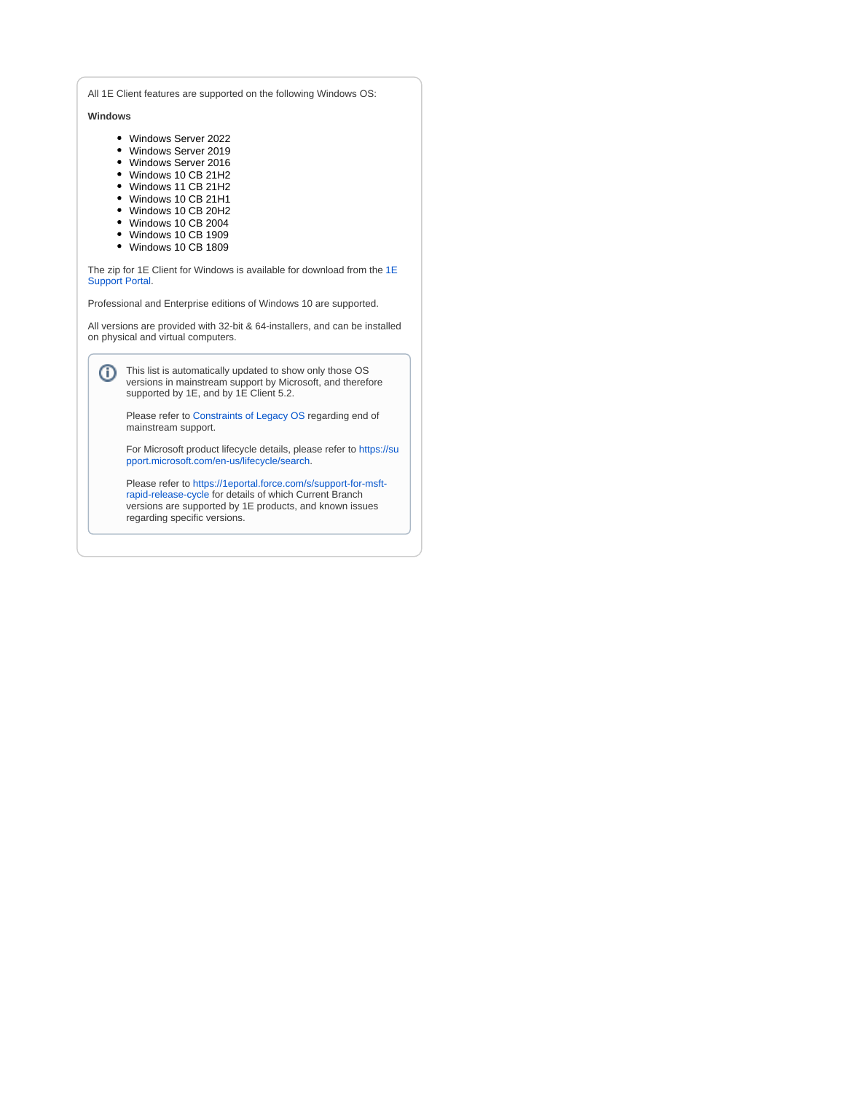All 1E Client features are supported on the following Windows OS:

**Windows**

- Windows Server 2022
- Windows Server 2019
- Windows Server 2016
- Windows 10 CB 21H2
- Windows 11 CB 21H2
- Windows 10 CB 21H1
- Windows 10 CB 20H2
- Windows 10 CB 2004
- Windows 10 CB 1909
- Windows 10 CB 1809

The zip for [1E](https://1eportal.force.com/s/tachyontopicdetail) Client for Windows is available for download from the 1E [Support Portal](https://1eportal.force.com/s/tachyontopicdetail).

Professional and Enterprise editions of Windows 10 are supported.

All versions are provided with 32-bit & 64-installers, and can be installed on physical and virtual computers.

This list is automatically updated to show only those OS versions in mainstream support by Microsoft, and therefore supported by 1E, and by 1E Client 5.2.

Please refer to [Constraints of Legacy OS](#page-6-2) regarding end of mainstream support.

For Microsoft product lifecycle details, please refer to [https://su](https://support.microsoft.com/en-us/lifecycle/search) [pport.microsoft.com/en-us/lifecycle/search.](https://support.microsoft.com/en-us/lifecycle/search)

Please refer to [https://1eportal.force.com/s/support-for-msft](https://1eportal.force.com/s/support-for-msft-rapid-release-cycle)[rapid-release-cycle](https://1eportal.force.com/s/support-for-msft-rapid-release-cycle) for details of which Current Branch versions are supported by 1E products, and known issues regarding specific versions.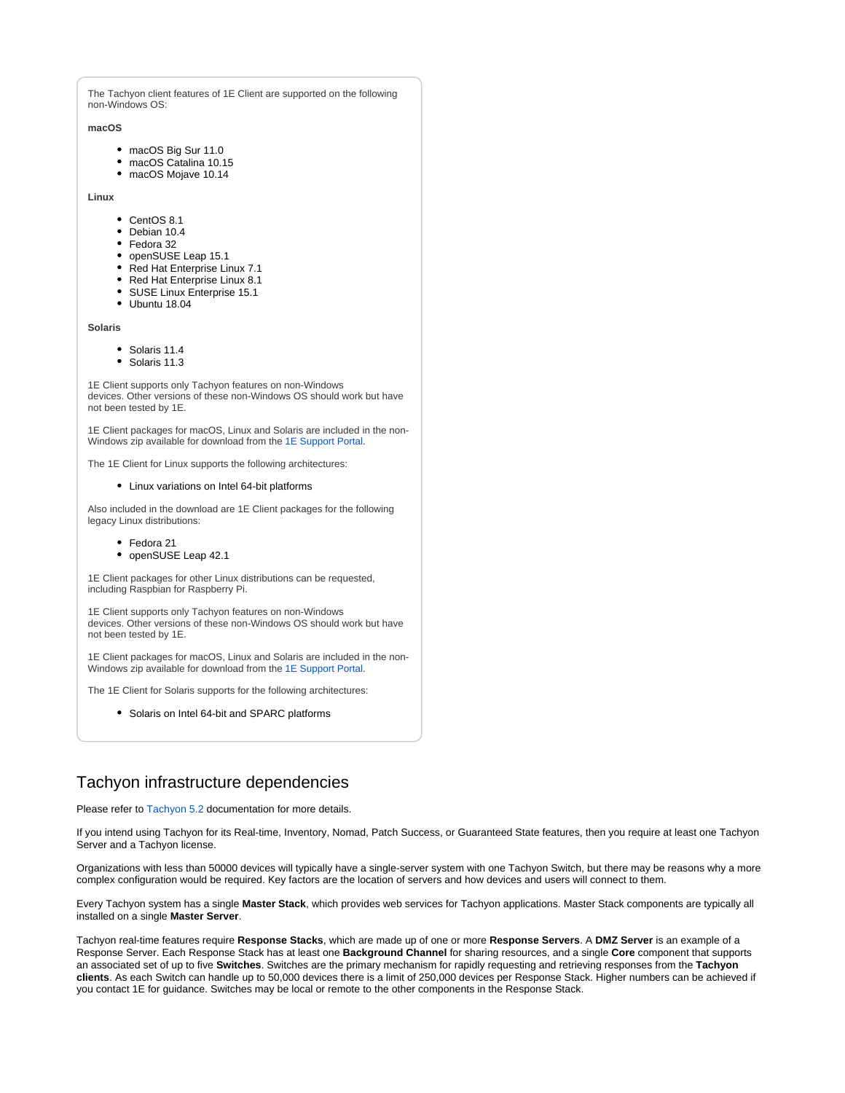The Tachyon client features of 1E Client are supported on the following non-Windows OS:

#### **macOS**

- macOS Big Sur 11.0
- macOS Catalina 10.15
- macOS Mojave 10.14

**Linux**

- CentOS 8.1
- Debian 10.4
- Fedora 32
- openSUSE Leap 15.1
- Red Hat Enterprise Linux 7.1
- Red Hat Enterprise Linux 8.1
- SUSE Linux Enterprise 15.1
- Ubuntu 18.04

**Solaris**

- Solaris 11.4
- Solaris 11.3

1E Client supports only Tachyon features on non-Windows devices. Other versions of these non-Windows OS should work but have not been tested by 1E.

1E Client packages for macOS, Linux and Solaris are included in the non-Windows zip available for download from the [1E Support Portal.](https://1eportal.force.com/s/tachyontopicdetail)

The 1E Client for Linux supports the following architectures:

#### Linux variations on Intel 64-bit platforms

Also included in the download are 1E Client packages for the following legacy Linux distributions:

- Fedora 21
- openSUSE Leap 42.1

1E Client packages for other Linux distributions can be requested, including Raspbian for Raspberry Pi.

1E Client supports only Tachyon features on non-Windows devices. Other versions of these non-Windows OS should work but have not been tested by 1E.

1E Client packages for macOS, Linux and Solaris are included in the non-Windows zip available for download from the [1E Support Portal.](https://1eportal.force.com/s/tachyontopicdetail)

The 1E Client for Solaris supports for the following architectures:

• Solaris on Intel 64-bit and SPARC platforms

# <span id="page-3-0"></span>Tachyon infrastructure dependencies

Please refer to [Tachyon 5.2](https://help.1e.com/display/TCN52/Welcome) documentation for more details.

If you intend using Tachyon for its Real-time, Inventory, Nomad, Patch Success, or Guaranteed State features, then you require at least one Tachyon Server and a Tachyon license.

Organizations with less than 50000 devices will typically have a single-server system with one Tachyon Switch, but there may be reasons why a more complex configuration would be required. Key factors are the location of servers and how devices and users will connect to them.

Every Tachyon system has a single **Master Stack**, which provides web services for Tachyon applications. Master Stack components are typically all installed on a single **Master Server**.

Tachyon real-time features require **Response Stacks**, which are made up of one or more **Response Servers**. A **DMZ Server** is an example of a Response Server. Each Response Stack has at least one **Background Channel** for sharing resources, and a single **Core** component that supports an associated set of up to five **Switches**. Switches are the primary mechanism for rapidly requesting and retrieving responses from the **Tachyon clients**. As each Switch can handle up to 50,000 devices there is a limit of 250,000 devices per Response Stack. Higher numbers can be achieved if you contact 1E for guidance. Switches may be local or remote to the other components in the Response Stack.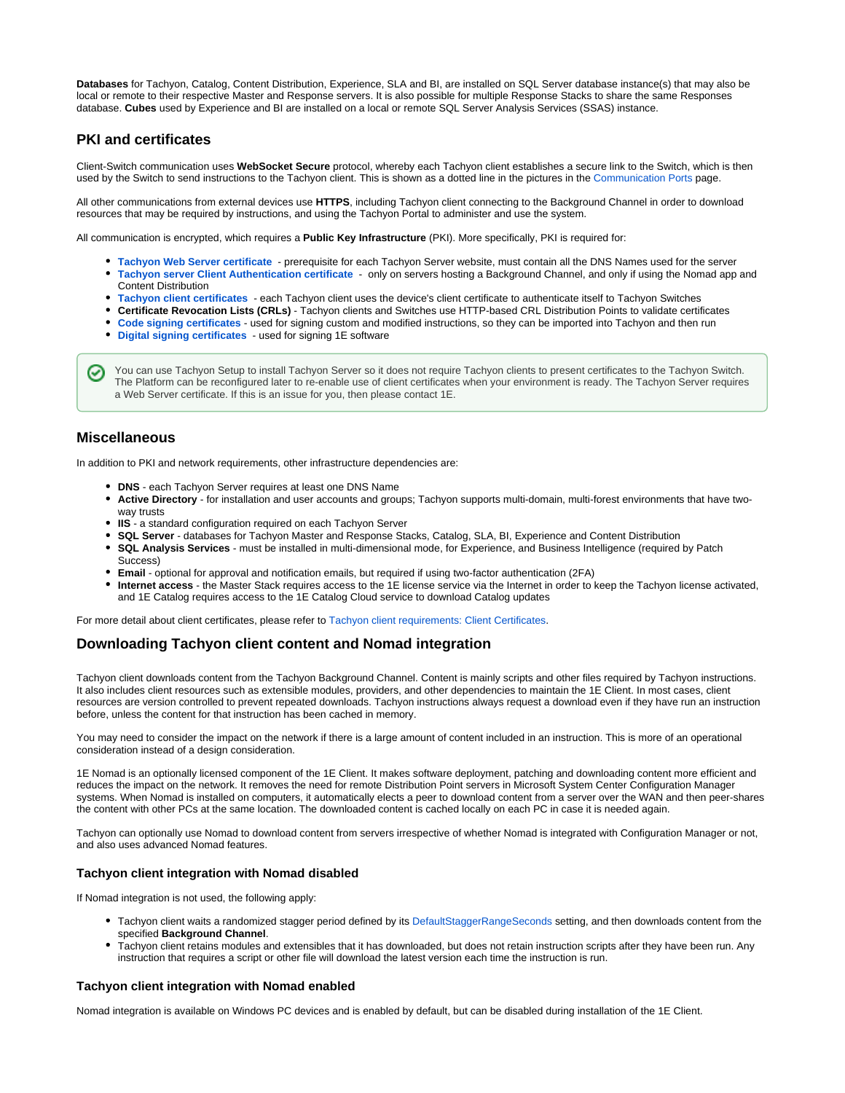**Databases** for Tachyon, Catalog, Content Distribution, Experience, SLA and BI, are installed on SQL Server database instance(s) that may also be local or remote to their respective Master and Response servers. It is also possible for multiple Response Stacks to share the same Responses database. **Cubes** used by Experience and BI are installed on a local or remote SQL Server Analysis Services (SSAS) instance.

### <span id="page-4-0"></span>**PKI and certificates**

Client-Switch communication uses **WebSocket Secure** protocol, whereby each Tachyon client establishes a secure link to the Switch, which is then used by the Switch to send instructions to the Tachyon client. This is shown as a dotted line in the pictures in the [Communication Ports](https://help.1e.com/display/TCN52/Communication+Ports) page.

All other communications from external devices use **HTTPS**, including Tachyon client connecting to the Background Channel in order to download resources that may be required by instructions, and using the Tachyon Portal to administer and use the system.

All communication is encrypted, which requires a **Public Key Infrastructure** (PKI). More specifically, PKI is required for:

- **[Tachyon Web Server certificate](https://help.1e.com/display/TCN52/Requirements#Requirements-TachyonWebServercertificate)** prerequisite for each Tachyon Server website, must contain all the DNS Names used for the server **[Tachyon server Client Authentication certificate](https://help.1e.com/display/TCN52/Requirements#Requirements-TachyonserverClientAuthenticationcertificate)** - only on servers hosting a Background Channel, and only if using the Nomad app and
- Content Distribution
- **[Tachyon client certificates](https://help.1e.com/display/TCN52/Requirements#Requirements-Tachyonclientcertificates)** each Tachyon client uses the device's client certificate to authenticate itself to Tachyon Switches
- **Certificate Revocation Lists (CRLs)** Tachyon clients and Switches use HTTP-based CRL Distribution Points to validate certificates
- **[Code signing certificates](https://help.1e.com/display/TCN52/Requirements#Requirements-Codesigningcertificates)** used for signing custom and modified instructions, so they can be imported into Tachyon and then run
- **[Digital signing certificates](https://help.1e.com/display/TCN52/Requirements#Requirements-Digitalsigningcertificates)** used for signing 1E software

You can use Tachyon Setup to install Tachyon Server so it does not require Tachyon clients to present certificates to the Tachyon Switch.  $(\checkmark)$ The Platform can be reconfigured later to re-enable use of client certificates when your environment is ready. The Tachyon Server requires a Web Server certificate. If this is an issue for you, then please contact 1E.

## <span id="page-4-1"></span>**Miscellaneous**

In addition to PKI and network requirements, other infrastructure dependencies are:

- **DNS** each Tachyon Server requires at least one DNS Name
- **Active Directory** for installation and user accounts and groups; Tachyon supports multi-domain, multi-forest environments that have twoway trusts
- **IIS** a standard configuration required on each Tachyon Server
- **SQL Server** databases for Tachyon Master and Response Stacks, Catalog, SLA, BI, Experience and Content Distribution
- **SQL Analysis Services** must be installed in multi-dimensional mode, for Experience, and Business Intelligence (required by Patch Success)
- **Email** optional for approval and notification emails, but required if using two-factor authentication (2FA)
- **Internet access** the Master Stack requires access to the 1E license service via the Internet in order to keep the Tachyon license activated, and 1E Catalog requires access to the 1E Catalog Cloud service to download Catalog updates

For more detail about client certificates, please refer to [Tachyon client requirements: Client Certificates.](https://help.1e.com/display/1EC52/Tachyon+client+requirements#Tachyonclientrequirements-ClientCertificates)

### <span id="page-4-2"></span>**Downloading Tachyon client content and Nomad integration**

Tachyon client downloads content from the Tachyon Background Channel. Content is mainly scripts and other files required by Tachyon instructions. It also includes client resources such as extensible modules, providers, and other dependencies to maintain the 1E Client. In most cases, client resources are version controlled to prevent repeated downloads. Tachyon instructions always request a download even if they have run an instruction before, unless the content for that instruction has been cached in memory.

You may need to consider the impact on the network if there is a large amount of content included in an instruction. This is more of an operational consideration instead of a design consideration.

1E Nomad is an optionally licensed component of the 1E Client. It makes software deployment, patching and downloading content more efficient and reduces the impact on the network. It removes the need for remote Distribution Point servers in Microsoft System Center Configuration Manager systems. When Nomad is installed on computers, it automatically elects a peer to download content from a server over the WAN and then peer-shares the content with other PCs at the same location. The downloaded content is cached locally on each PC in case it is needed again.

Tachyon can optionally use Nomad to download content from servers irrespective of whether Nomad is integrated with Configuration Manager or not, and also uses advanced Nomad features.

#### **Tachyon client integration with Nomad disabled**

If Nomad integration is not used, the following apply:

- Tachyon client waits a randomized stagger period defined by its [DefaultStaggerRangeSeconds](https://help.1e.com/display/TCN52/Tachyon+client+settings#Tachyonclientsettings-DefaultStaggerRangeSeconds) setting, and then downloads content from the specified **Background Channel**.
- Tachyon client retains modules and extensibles that it has downloaded, but does not retain instruction scripts after they have been run. Any instruction that requires a script or other file will download the latest version each time the instruction is run.

#### **Tachyon client integration with Nomad enabled**

Nomad integration is available on Windows PC devices and is enabled by default, but can be disabled during installation of the 1E Client.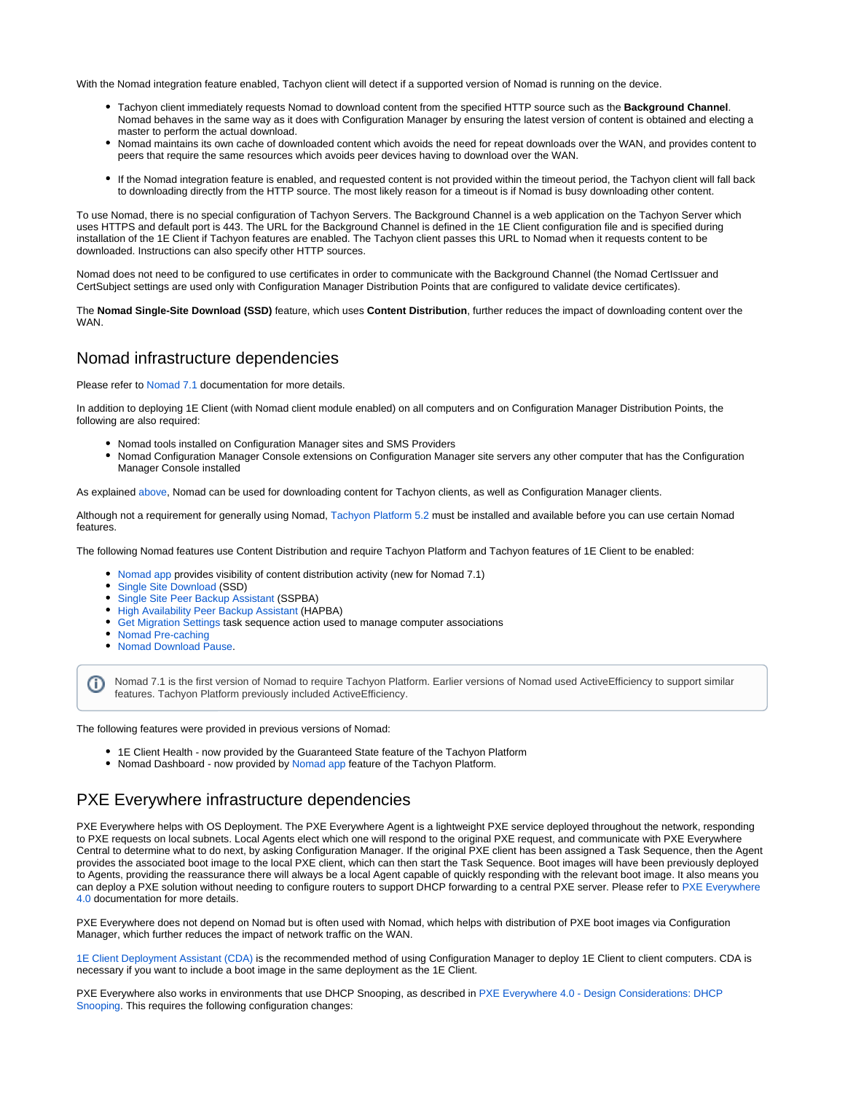With the Nomad integration feature enabled, Tachyon client will detect if a supported version of Nomad is running on the device.

- Tachyon client immediately requests Nomad to download content from the specified HTTP source such as the **Background Channel**. Nomad behaves in the same way as it does with Configuration Manager by ensuring the latest version of content is obtained and electing a master to perform the actual download.
- Nomad maintains its own cache of downloaded content which avoids the need for repeat downloads over the WAN, and provides content to peers that require the same resources which avoids peer devices having to download over the WAN.
- If the Nomad integration feature is enabled, and requested content is not provided within the timeout period, the Tachyon client will fall back to downloading directly from the HTTP source. The most likely reason for a timeout is if Nomad is busy downloading other content.

To use Nomad, there is no special configuration of Tachyon Servers. The Background Channel is a web application on the Tachyon Server which uses HTTPS and default port is 443. The URL for the Background Channel is defined in the 1E Client configuration file and is specified during installation of the 1E Client if Tachyon features are enabled. The Tachyon client passes this URL to Nomad when it requests content to be downloaded. Instructions can also specify other HTTP sources.

Nomad does not need to be configured to use certificates in order to communicate with the Background Channel (the Nomad CertIssuer and CertSubject settings are used only with Configuration Manager Distribution Points that are configured to validate device certificates).

The **Nomad Single-Site Download (SSD)** feature, which uses **Content Distribution**, further reduces the impact of downloading content over the WAN.

# <span id="page-5-0"></span>Nomad infrastructure dependencies

Please refer to [Nomad 7.1](https://help.1e.com/display/NMD71/Welcome) documentation for more details.

In addition to deploying 1E Client (with Nomad client module enabled) on all computers and on Configuration Manager Distribution Points, the following are also required:

- Nomad tools installed on Configuration Manager sites and SMS Providers
- Nomad Configuration Manager Console extensions on Configuration Manager site servers any other computer that has the Configuration Manager Console installed

As explained [above,](#page-4-2) Nomad can be used for downloading content for Tachyon clients, as well as Configuration Manager clients.

Although not a requirement for generally using Nomad, [Tachyon Platform 5.2](https://help.1e.com/display/TCN52/Welcome) must be installed and available before you can use certain Nomad features.

The following Nomad features use Content Distribution and require Tachyon Platform and Tachyon features of 1E Client to be enabled:

- [Nomad app](https://help.1e.com/display/NMD71/Nomad+app) provides visibility of content distribution activity (new for Nomad 7.1)
- [Single Site Download](https://help.1e.com/display/NMD71/Single+Site+Download) (SSD)
- [Single Site Peer Backup Assistant](https://help.1e.com/display/NMD71/Peer+Backup+Assistant+-+PBA#PeerBackupAssistant-PBA-Single-sitePBA) (SSPBA)
- [High Availability Peer Backup Assistant](https://help.1e.com/display/NMD71/Peer+Backup+Assistant+-+PBA#PeerBackupAssistant-PBA-High-availabilityPBA) (HAPBA)
- [Get Migration Settings](https://help.1e.com/display/NMD71/Get+Migration+Settings) task sequence action used to manage computer associations
- [Nomad Pre-caching](https://help.1e.com/display/NMD71/Nomad+Pre-caching)

O)

[Nomad Download Pause](https://help.1e.com/display/NMD71/Nomad+Download+Pause).

Nomad 7.1 is the first version of Nomad to require Tachyon Platform. Earlier versions of Nomad used ActiveEfficiency to support similar features. Tachyon Platform previously included ActiveEfficiency.

The following features were provided in previous versions of Nomad:

- 1E Client Health now provided by the Guaranteed State feature of the Tachyon Platform
- Nomad Dashboard now provided by [Nomad app](https://help.1e.com/display/NMD71/Nomad+app) feature of the Tachyon Platform.

# <span id="page-5-1"></span>PXE Everywhere infrastructure dependencies

PXE Everywhere helps with OS Deployment. The PXE Everywhere Agent is a lightweight PXE service deployed throughout the network, responding to PXE requests on local subnets. Local Agents elect which one will respond to the original PXE request, and communicate with PXE Everywhere Central to determine what to do next, by asking Configuration Manager. If the original PXE client has been assigned a Task Sequence, then the Agent provides the associated boot image to the local PXE client, which can then start the Task Sequence. Boot images will have been previously deployed to Agents, providing the reassurance there will always be a local Agent capable of quickly responding with the relevant boot image. It also means you can deploy a PXE solution without needing to configure routers to support DHCP forwarding to a central PXE server. Please refer to PXE Everywhere [4.0](https://help.1e.com/display/PXE40/Welcome) documentation for more details.

PXE Everywhere does not depend on Nomad but is often used with Nomad, which helps with distribution of PXE boot images via Configuration Manager, which further reduces the impact of network traffic on the WAN.

[1E Client Deployment Assistant \(CDA\)](https://help.1e.com/display/CDA16/Welcome) is the recommended method of using Configuration Manager to deploy 1E Client to client computers. CDA is necessary if you want to include a boot image in the same deployment as the 1E Client.

PXE Everywhere also works in environments that use DHCP Snooping, as described in [PXE Everywhere 4.0 - Design Considerations: DHCP](https://help.1e.com/display/PXE40/Design+Considerations#DesignConsiderations-DHCPSnooping)  [Snooping](https://help.1e.com/display/PXE40/Design+Considerations#DesignConsiderations-DHCPSnooping). This requires the following configuration changes: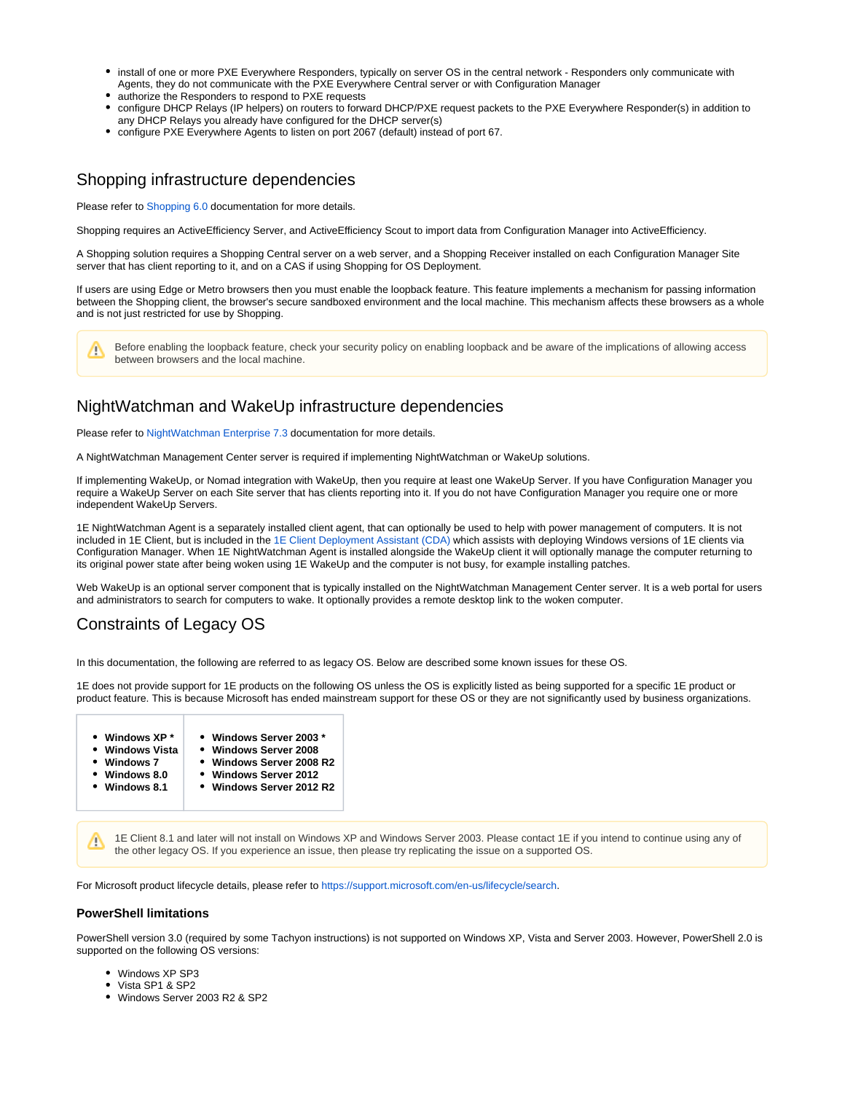- install of one or more PXE Everywhere Responders, typically on server OS in the central network Responders only communicate with Agents, they do not communicate with the PXE Everywhere Central server or with Configuration Manager
- authorize the Responders to respond to PXE requests
- configure DHCP Relays (IP helpers) on routers to forward DHCP/PXE request packets to the PXE Everywhere Responder(s) in addition to any DHCP Relays you already have configured for the DHCP server(s)
- configure PXE Everywhere Agents to listen on port 2067 (default) instead of port 67.

# <span id="page-6-0"></span>Shopping infrastructure dependencies

Please refer to [Shopping 6.0](https://help.1e.com/display/SHP60/Welcome) documentation for more details.

Shopping requires an ActiveEfficiency Server, and ActiveEfficiency Scout to import data from Configuration Manager into ActiveEfficiency.

A Shopping solution requires a Shopping Central server on a web server, and a Shopping Receiver installed on each Configuration Manager Site server that has client reporting to it, and on a CAS if using Shopping for OS Deployment.

If users are using Edge or Metro browsers then you must enable the loopback feature. This feature implements a mechanism for passing information between the Shopping client, the browser's secure sandboxed environment and the local machine. This mechanism affects these browsers as a whole and is not just restricted for use by Shopping.

Before enabling the loopback feature, check your security policy on enabling loopback and be aware of the implications of allowing access Λ between browsers and the local machine.

# <span id="page-6-1"></span>NightWatchman and WakeUp infrastructure dependencies

Please refer to [NightWatchman Enterprise 7.3](https://help.1e.com/display/NWE73/Welcome) documentation for more details.

A NightWatchman Management Center server is required if implementing NightWatchman or WakeUp solutions.

If implementing WakeUp, or Nomad integration with WakeUp, then you require at least one WakeUp Server. If you have Configuration Manager you require a WakeUp Server on each Site server that has clients reporting into it. If you do not have Configuration Manager you require one or more independent WakeUp Servers.

1E NightWatchman Agent is a separately installed client agent, that can optionally be used to help with power management of computers. It is not included in 1E Client, but is included in the [1E Client Deployment Assistant \(CDA\)](https://help.1e.com/display/CDA16/Welcome) which assists with deploying Windows versions of 1E clients via Configuration Manager. When 1E NightWatchman Agent is installed alongside the WakeUp client it will optionally manage the computer returning to its original power state after being woken using 1E WakeUp and the computer is not busy, for example installing patches.

Web WakeUp is an optional server component that is typically installed on the NightWatchman Management Center server. It is a web portal for users and administrators to search for computers to wake. It optionally provides a remote desktop link to the woken computer.

# Constraints of Legacy OS

<span id="page-6-2"></span>In this documentation, the following are referred to as legacy OS. Below are described some known issues for these OS.

1E does not provide support for 1E products on the following OS unless the OS is explicitly listed as being supported for a specific 1E product or product feature. This is because Microsoft has ended mainstream support for these OS or they are not significantly used by business organizations.

- **Windows XP \* Windows Server 2003 \***
	- **Windows Vista**  $\bullet$ **Windows Server 2008**
- **Windows 7 Windows Server 2008 R2**
- **Windows 8.0**
	- **Windows Server 2012 Windows Server 2012 R2**
- **Windows 8.1**

1E Client 8.1 and later will not install on Windows XP and Windows Server 2003. Please contact 1E if you intend to continue using any of Δ the other legacy OS. If you experience an issue, then please try replicating the issue on a supported OS.

For Microsoft product lifecycle details, please refer to [https://support.microsoft.com/en-us/lifecycle/search.](https://support.microsoft.com/en-us/lifecycle/search)

#### **PowerShell limitations**

PowerShell version 3.0 (required by some Tachyon instructions) is not supported on Windows XP, Vista and Server 2003. However, PowerShell 2.0 is supported on the following OS versions:

- Windows XP SP3
- Vista SP1 & SP2
- Windows Server 2003 R2 & SP2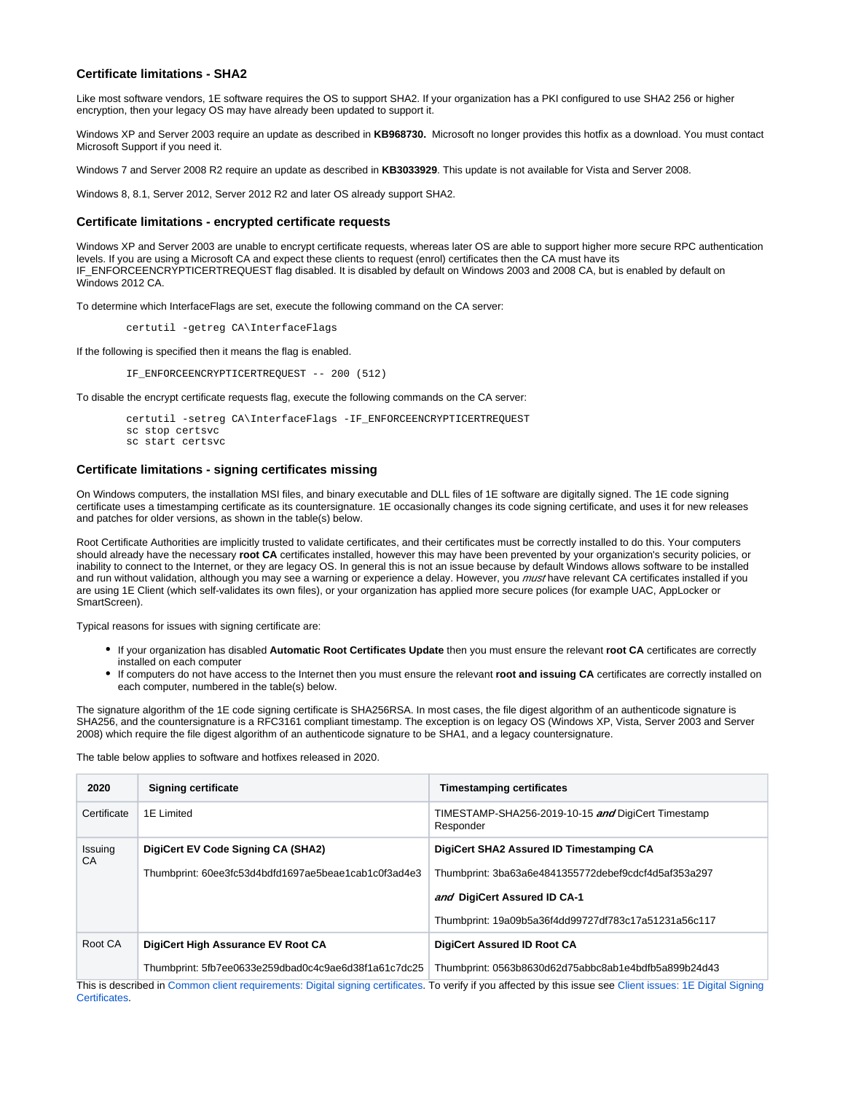#### **Certificate limitations - SHA2**

Like most software vendors, 1E software requires the OS to support SHA2. If your organization has a PKI configured to use SHA2 256 or higher encryption, then your legacy OS may have already been updated to support it.

Windows XP and Server 2003 require an update as described in **KB968730.** Microsoft no longer provides this hotfix as a download. You must contact Microsoft Support if you need it.

Windows 7 and Server 2008 R2 require an update as described in **KB3033929**. This update is not available for Vista and Server 2008.

Windows 8, 8.1, Server 2012, Server 2012 R2 and later OS already support SHA2.

#### **Certificate limitations - encrypted certificate requests**

Windows XP and Server 2003 are unable to encrypt certificate requests, whereas later OS are able to support higher more secure RPC authentication levels. If you are using a Microsoft CA and expect these clients to request (enrol) certificates then the CA must have its IF\_ENFORCEENCRYPTICERTREQUEST flag disabled. It is disabled by default on Windows 2003 and 2008 CA, but is enabled by default on Windows 2012 CA.

To determine which InterfaceFlags are set, execute the following command on the CA server:

certutil -getreg CA\InterfaceFlags

If the following is specified then it means the flag is enabled.

IF\_ENFORCEENCRYPTICERTREQUEST -- 200 (512)

To disable the encrypt certificate requests flag, execute the following commands on the CA server:

```
 certutil -setreg CA\InterfaceFlags -IF_ENFORCEENCRYPTICERTREQUEST
sc stop certsvc
sc start certsvc
```
#### **Certificate limitations - signing certificates missing**

On Windows computers, the installation MSI files, and binary executable and DLL files of 1E software are digitally signed. The 1E code signing certificate uses a timestamping certificate as its countersignature. 1E occasionally changes its code signing certificate, and uses it for new releases and patches for older versions, as shown in the table(s) below.

Root Certificate Authorities are implicitly trusted to validate certificates, and their certificates must be correctly installed to do this. Your computers should already have the necessary **root CA** certificates installed, however this may have been prevented by your organization's security policies, or inability to connect to the Internet, or they are legacy OS. In general this is not an issue because by default Windows allows software to be installed and run without validation, although you may see a warning or experience a delay. However, you must have relevant CA certificates installed if you are using 1E Client (which self-validates its own files), or your organization has applied more secure polices (for example UAC, AppLocker or SmartScreen).

Typical reasons for issues with signing certificate are:

- If your organization has disabled **Automatic Root Certificates Update** then you must ensure the relevant **root CA** certificates are correctly installed on each computer
- If computers do not have access to the Internet then you must ensure the relevant **root and issuing CA** certificates are correctly installed on each computer, numbered in the table(s) below.

The signature algorithm of the 1E code signing certificate is SHA256RSA. In most cases, the file digest algorithm of an authenticode signature is SHA256, and the countersignature is a RFC3161 compliant timestamp. The exception is on legacy OS (Windows XP, Vista, Server 2003 and Server 2008) which require the file digest algorithm of an authenticode signature to be SHA1, and a legacy countersignature.

The table below applies to software and hotfixes released in 2020.

| 2020          | <b>Signing certificate</b>                                                                                                                                   | <b>Timestamping certificates</b>                                |  |
|---------------|--------------------------------------------------------------------------------------------------------------------------------------------------------------|-----------------------------------------------------------------|--|
| Certificate   | 1E Limited                                                                                                                                                   | TIMESTAMP-SHA256-2019-10-15 and DigiCert Timestamp<br>Responder |  |
| Issuing<br>CA | DigiCert EV Code Signing CA (SHA2)                                                                                                                           | DigiCert SHA2 Assured ID Timestamping CA                        |  |
|               | Thumbprint: 60ee3fc53d4bdfd1697ae5beae1cab1c0f3ad4e3                                                                                                         | Thumbprint: 3ba63a6e4841355772debef9cdcf4d5af353a297            |  |
|               |                                                                                                                                                              | and DigiCert Assured ID CA-1                                    |  |
|               |                                                                                                                                                              | Thumbprint: 19a09b5a36f4dd99727df783c17a51231a56c117            |  |
| Root CA       | DigiCert High Assurance EV Root CA                                                                                                                           | <b>DigiCert Assured ID Root CA</b>                              |  |
|               | Thumbprint: 5fb7ee0633e259dbad0c4c9ae6d38f1a61c7dc25                                                                                                         | Thumbprint: 0563b8630d62d75abbc8ab1e4bdfb5a899b24d43            |  |
|               | This is described in Common client requirements: Digital signing certificates. To verify if you affected by this issue see Client issues: 1E Digital Signing |                                                                 |  |

This is described in [Common client requirements: Digital signing certificates](https://help.1e.com/display/1EC52/Common+client+requirements#Commonclientrequirements-Digitalsigningcertificates). To verify if you affected by this issue see [Client issues: 1E Digital Signing](https://help.1e.com/display/1EC52/Client+issues#Clientissues-1EDigitalSigningCertificates)  [Certificates](https://help.1e.com/display/1EC52/Client+issues#Clientissues-1EDigitalSigningCertificates).